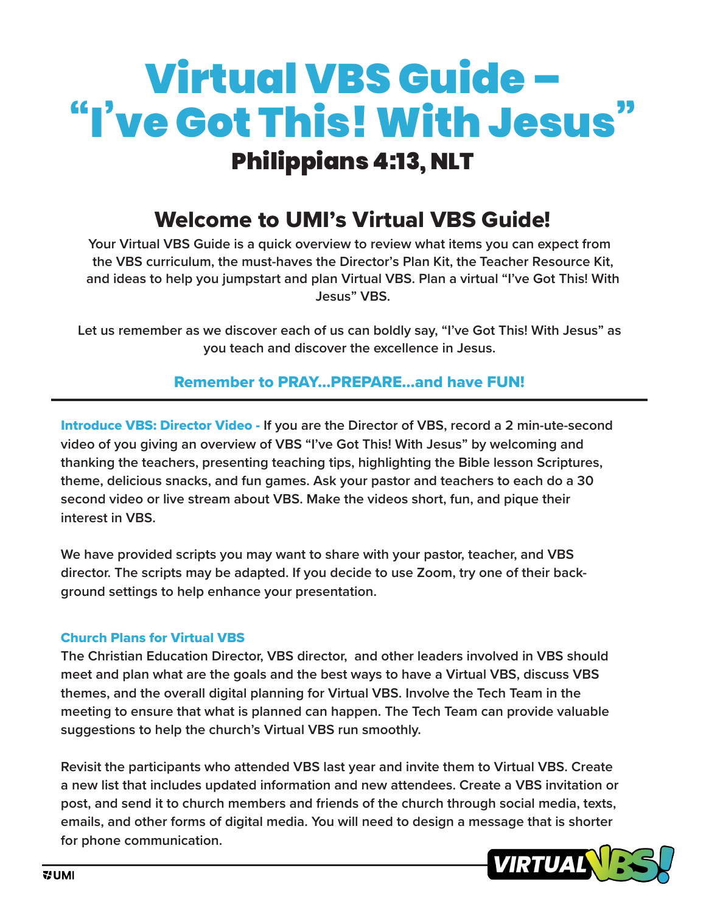# Virtual VBS Guide – "I've Got This! With Jesus" Philippians 4:13, NLT

# Welcome to UMI's Virtual VBS Guide!

**Your Virtual VBS Guide is a quick overview to review what items you can expect from the VBS curriculum, the must-haves the Director's Plan Kit, the Teacher Resource Kit, and ideas to help you jumpstart and plan Virtual VBS. Plan a virtual "I've Got This! With Jesus" VBS.**

**Let us remember as we discover each of us can boldly say, "I've Got This! With Jesus" as you teach and discover the excellence in Jesus.** 

Remember to PRAY…PREPARE…and have FUN!

Introduce VBS: Director Video - **If you are the Director of VBS, record a 2 min-ute-second video of you giving an overview of VBS "I've Got This! With Jesus" by welcoming and thanking the teachers, presenting teaching tips, highlighting the Bible lesson Scriptures, theme, delicious snacks, and fun games. Ask your pastor and teachers to each do a 30 second video or live stream about VBS. Make the videos short, fun, and pique their interest in VBS.** 

**We have provided scripts you may want to share with your pastor, teacher, and VBS director. The scripts may be adapted. If you decide to use Zoom, try one of their background settings to help enhance your presentation.** 

#### Church Plans for Virtual VBS

**The Christian Education Director, VBS director, and other leaders involved in VBS should meet and plan what are the goals and the best ways to have a Virtual VBS, discuss VBS themes, and the overall digital planning for Virtual VBS. Involve the Tech Team in the meeting to ensure that what is planned can happen. The Tech Team can provide valuable suggestions to help the church's Virtual VBS run smoothly.** 

**Revisit the participants who attended VBS last year and invite them to Virtual VBS. Create a new list that includes updated information and new attendees. Create a VBS invitation or post, and send it to church members and friends of the church through social media, texts, emails, and other forms of digital media. You will need to design a message that is shorter for phone communication.**

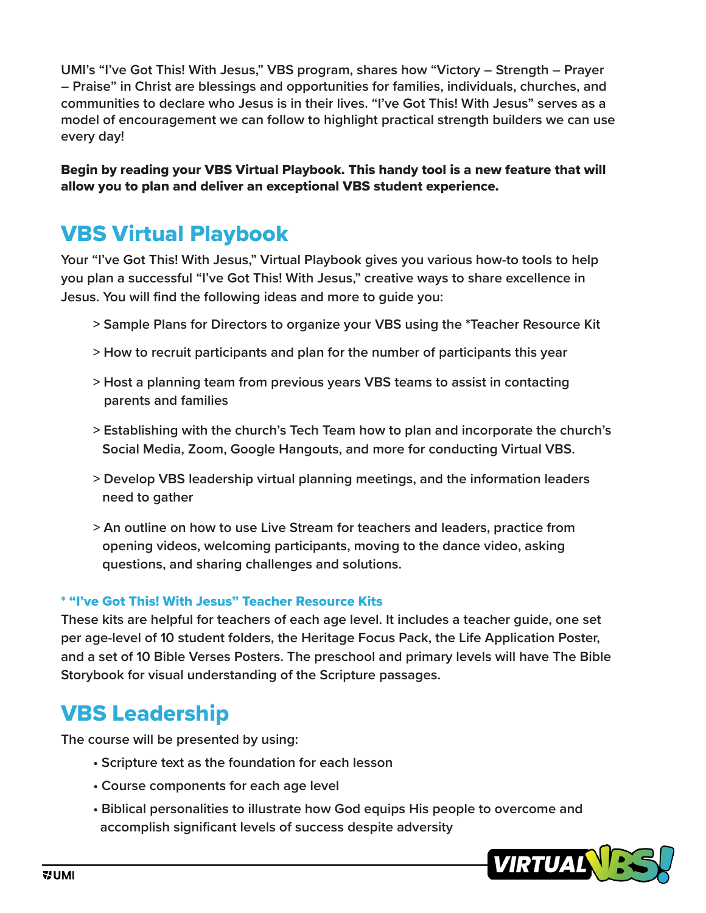**UMI's "I've Got This! With Jesus," VBS program, shares how "Victory – Strength – Prayer – Praise" in Christ are blessings and opportunities for families, individuals, churches, and communities to declare who Jesus is in their lives. "I've Got This! With Jesus" serves as a model of encouragement we can follow to highlight practical strength builders we can use every day!**

Begin by reading your VBS Virtual Playbook. This handy tool is a new feature that will allow you to plan and deliver an exceptional VBS student experience.

# VBS Virtual Playbook

**Your "I've Got This! With Jesus," Virtual Playbook gives you various how-to tools to help you plan a successful "I've Got This! With Jesus," creative ways to share excellence in Jesus. You will find the following ideas and more to guide you:**

- **> Sample Plans for Directors to organize your VBS using the \*Teacher Resource Kit**
- **> How to recruit participants and plan for the number of participants this year**
- **> Host a planning team from previous years VBS teams to assist in contacting parents and families**
- **> Establishing with the church's Tech Team how to plan and incorporate the church's Social Media, Zoom, Google Hangouts, and more for conducting Virtual VBS.**
- **> Develop VBS leadership virtual planning meetings, and the information leaders need to gather**
- **> An outline on how to use Live Stream for teachers and leaders, practice from opening videos, welcoming participants, moving to the dance video, asking questions, and sharing challenges and solutions.**

#### \* "I've Got This! With Jesus" Teacher Resource Kits

**These kits are helpful for teachers of each age level. It includes a teacher guide, one set per age-level of 10 student folders, the Heritage Focus Pack, the Life Application Poster, and a set of 10 Bible Verses Posters. The preschool and primary levels will have The Bible Storybook for visual understanding of the Scripture passages.**

# VBS Leadership

**The course will be presented by using:**

- **Scripture text as the foundation for each lesson**
- **Course components for each age level**
- **Biblical personalities to illustrate how God equips His people to overcome and accomplish significant levels of success despite adversity**

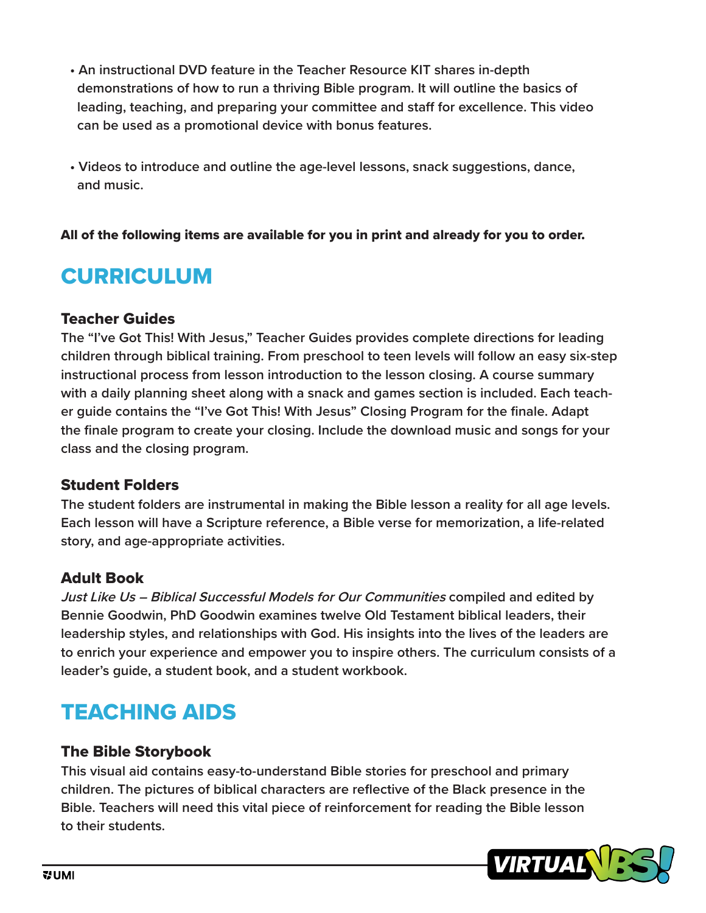- **An instructional DVD feature in the Teacher Resource KIT shares in-depth demonstrations of how to run a thriving Bible program. It will outline the basics of leading, teaching, and preparing your committee and staff for excellence. This video can be used as a promotional device with bonus features.**
- **Videos to introduce and outline the age-level lessons, snack suggestions, dance, and music.**

All of the following items are available for you in print and already for you to order.

# CURRICULUM

### Teacher Guides

**The "I've Got This! With Jesus," Teacher Guides provides complete directions for leading children through biblical training. From preschool to teen levels will follow an easy six-step instructional process from lesson introduction to the lesson closing. A course summary with a daily planning sheet along with a snack and games section is included. Each teacher guide contains the "I've Got This! With Jesus" Closing Program for the finale. Adapt the finale program to create your closing. Include the download music and songs for your class and the closing program.**

#### Student Folders

**The student folders are instrumental in making the Bible lesson a reality for all age levels. Each lesson will have a Scripture reference, a Bible verse for memorization, a life-related story, and age-appropriate activities.**

### Adult Book

**Just Like Us – Biblical Successful Models for Our Communities compiled and edited by Bennie Goodwin, PhD Goodwin examines twelve Old Testament biblical leaders, their leadership styles, and relationships with God. His insights into the lives of the leaders are to enrich your experience and empower you to inspire others. The curriculum consists of a leader's guide, a student book, and a student workbook.**

# TEACHING AIDS

#### The Bible Storybook

**This visual aid contains easy-to-understand Bible stories for preschool and primary children. The pictures of biblical characters are reflective of the Black presence in the Bible. Teachers will need this vital piece of reinforcement for reading the Bible lesson to their students.**